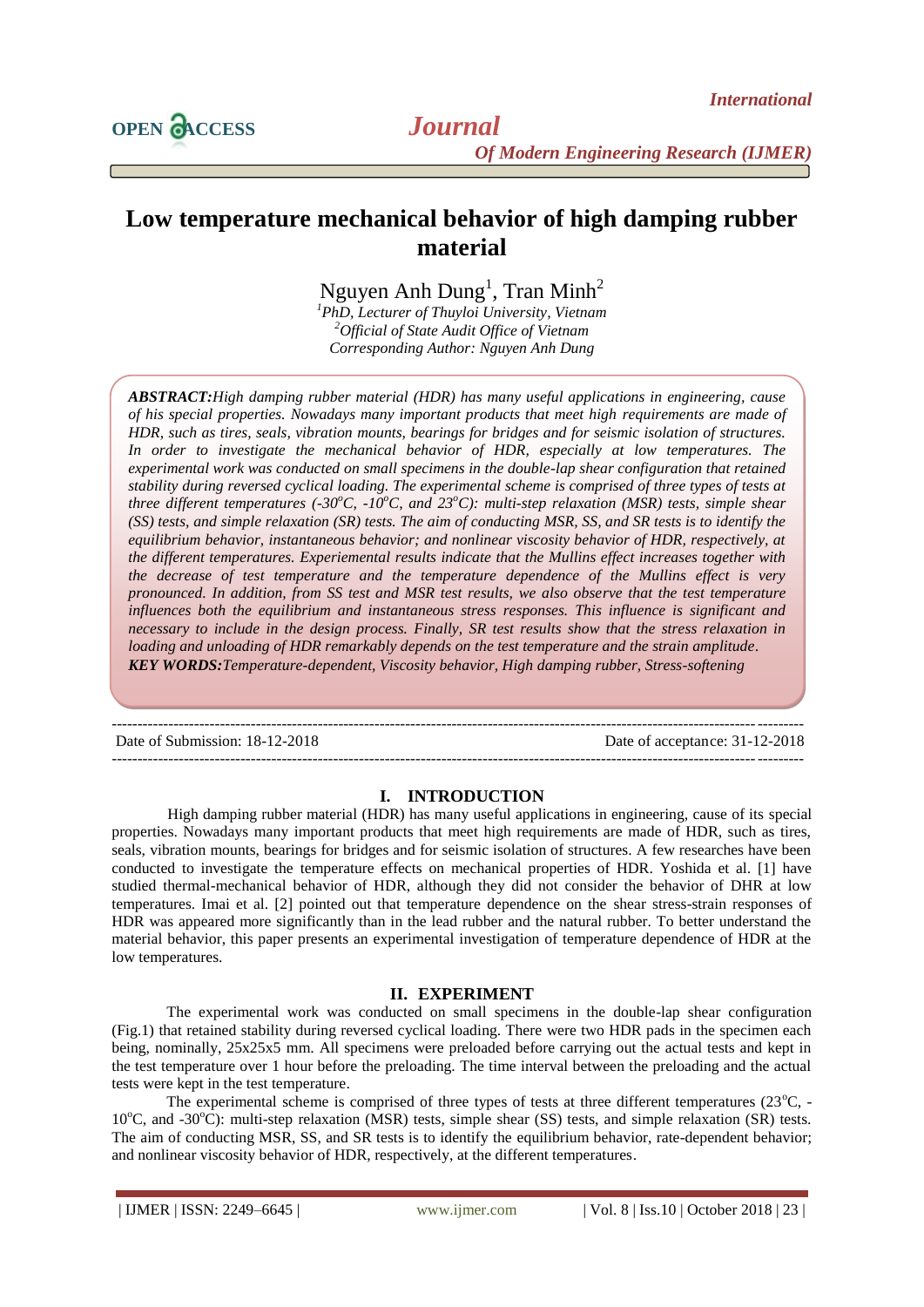

# **Low temperature mechanical behavior of high damping rubber material**

Nguyen Anh  $Dung<sup>1</sup>$ , Tran Minh<sup>2</sup>

*<sup>1</sup>PhD, Lecturer of Thuyloi University, Vietnam <sup>2</sup>Official of State Audit Office of Vietnam Corresponding Author: Nguyen Anh Dung*

*ABSTRACT:High damping rubber material (HDR) has many useful applications in engineering, cause of his special properties. Nowadays many important products that meet high requirements are made of HDR, such as tires, seals, vibration mounts, bearings for bridges and for seismic isolation of structures. In order to investigate the mechanical behavior of HDR, especially at low temperatures. The experimental work was conducted on small specimens in the double-lap shear configuration that retained stability during reversed cyclical loading. The experimental scheme is comprised of three types of tests at three different temperatures (-30<sup>o</sup>C, -10<sup>o</sup>C, and 23<sup>o</sup>C): multi-step relaxation (MSR) tests, simple shear (SS) tests, and simple relaxation (SR) tests. The aim of conducting MSR, SS, and SR tests is to identify the equilibrium behavior, instantaneous behavior; and nonlinear viscosity behavior of HDR, respectively, at the different temperatures. Experiemental results indicate that the Mullins effect increases together with the decrease of test temperature and the temperature dependence of the Mullins effect is very pronounced. In addition, from SS test and MSR test results, we also observe that the test temperature influences both the equilibrium and instantaneous stress responses. This influence is significant and necessary to include in the design process. Finally, SR test results show that the stress relaxation in loading and unloading of HDR remarkably depends on the test temperature and the strain amplitude. KEY WORDS:Temperature-dependent, Viscosity behavior, High damping rubber, Stress-softening*

Date of Submission: 18-12-2018

## **I. INTRODUCTION**

--------------------------------------------------------------------------------------------------------------------------------------

--------------------------------------------------------------------------------------------------------------------------------------

High damping rubber material (HDR) has many useful applications in engineering, cause of its special properties. Nowadays many important products that meet high requirements are made of HDR, such as tires, seals, vibration mounts, bearings for bridges and for seismic isolation of structures. A few researches have been conducted to investigate the temperature effects on mechanical properties of HDR. Yoshida et al. [1] have studied thermal-mechanical behavior of HDR, although they did not consider the behavior of DHR at low temperatures. Imai et al. [2] pointed out that temperature dependence on the shear stress-strain responses of HDR was appeared more significantly than in the lead rubber and the natural rubber. To better understand the material behavior, this paper presents an experimental investigation of temperature dependence of HDR at the low temperatures.

## **II. EXPERIMENT**

The experimental work was conducted on small specimens in the double-lap shear configuration (Fig.1) that retained stability during reversed cyclical loading. There were two HDR pads in the specimen each being, nominally, 25x25x5 mm. All specimens were preloaded before carrying out the actual tests and kept in the test temperature over 1 hour before the preloading. The time interval between the preloading and the actual tests were kept in the test temperature.

The experimental scheme is comprised of three types of tests at three different temperatures  $(23^{\circ}C, -16^{\circ})$  $10^{\circ}$ C, and  $-30^{\circ}$ C): multi-step relaxation (MSR) tests, simple shear (SS) tests, and simple relaxation (SR) tests. The aim of conducting MSR, SS, and SR tests is to identify the equilibrium behavior, rate-dependent behavior; and nonlinear viscosity behavior of HDR, respectively, at the different temperatures.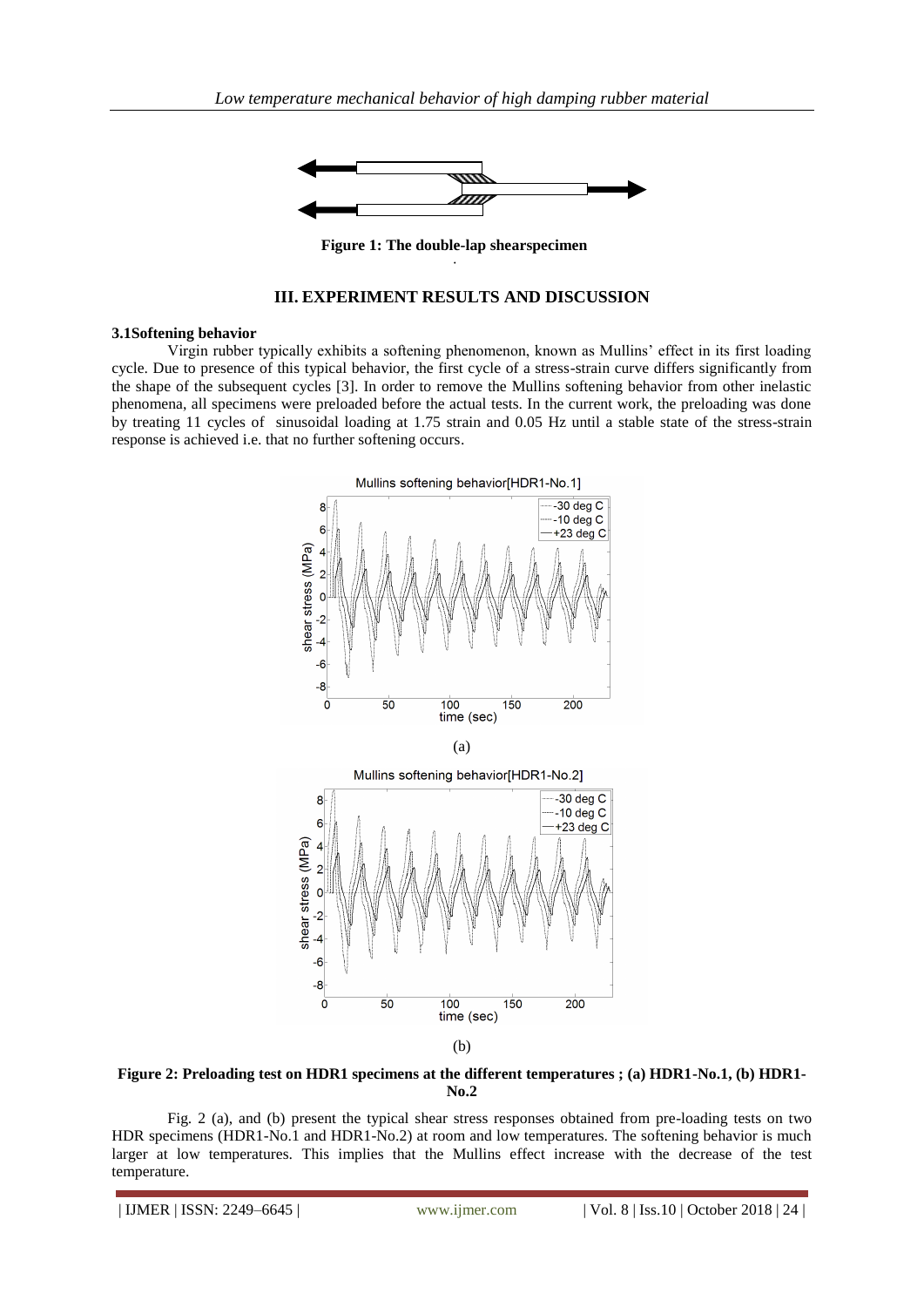

**Figure 1: The double-lap shearspecimen** specimen

# **III. EXPERIMENT RESULTS AND DISCUSSION**

#### **3.1Softening behavior**

Virgin rubber typically exhibits a softening phenomenon, known as Mullins' effect in its first loading cycle. Due to presence of this typical behavior, the first cycle of a stress-strain curve differs significantly from the shape of the subsequent cycles [3]. In order to remove the Mullins softening behavior from other inelastic phenomena, all specimens were preloaded before the actual tests. In the current work, the preloading was done by treating 11 cycles of sinusoidal loading at 1.75 strain and 0.05 Hz until a stable state of the stress-strain response is achieved i.e. that no further softening occurs.



**Figure 2: Preloading test on HDR1 specimens at the different temperatures ; (a) HDR1-No.1, (b) HDR1- No.2**

Fig. 2 (a), and (b) present the typical shear stress responses obtained from pre-loading tests on two HDR specimens (HDR1-No.1 and HDR1-No.2) at room and low temperatures. The softening behavior is much larger at low temperatures. This implies that the Mullins effect increase with the decrease of the test temperature.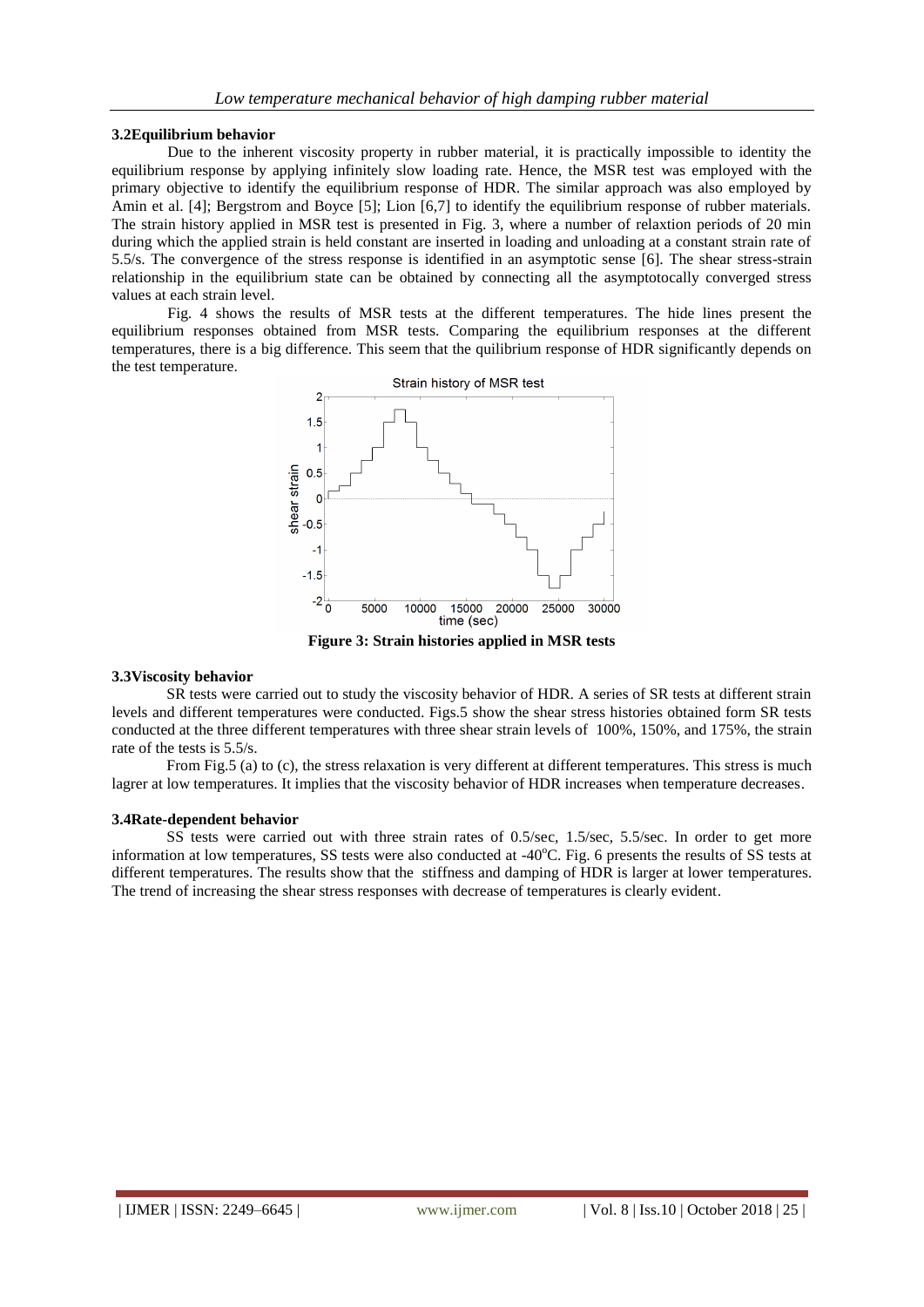#### **3.2Equilibrium behavior**

Due to the inherent viscosity property in rubber material, it is practically impossible to identity the equilibrium response by applying infinitely slow loading rate. Hence, the MSR test was employed with the primary objective to identify the equilibrium response of HDR. The similar approach was also employed by Amin et al. [4]; Bergstrom and Boyce [5]; Lion [6,7] to identify the equilibrium response of rubber materials. The strain history applied in MSR test is presented in Fig. 3, where a number of relaxtion periods of 20 min during which the applied strain is held constant are inserted in loading and unloading at a constant strain rate of 5.5/s. The convergence of the stress response is identified in an asymptotic sense [6]. The shear stress-strain relationship in the equilibrium state can be obtained by connecting all the asymptotocally converged stress values at each strain level.

Fig. 4 shows the results of MSR tests at the different temperatures. The hide lines present the equilibrium responses obtained from MSR tests. Comparing the equilibrium responses at the different temperatures, there is a big difference. This seem that the quilibrium response of HDR significantly depends on the test temperature.



**Figure 3: Strain histories applied in MSR tests**

#### **3.3Viscosity behavior**

SR tests were carried out to study the viscosity behavior of HDR. A series of SR tests at different strain levels and different temperatures were conducted. Figs.5 show the shear stress histories obtained form SR tests conducted at the three different temperatures with three shear strain levels of 100%, 150%, and 175%, the strain rate of the tests is 5.5/s.

From Fig.5 (a) to (c), the stress relaxation is very different at different temperatures. This stress is much lagrer at low temperatures. It implies that the viscosity behavior of HDR increases when temperature decreases.

#### **3.4Rate-dependent behavior**

SS tests were carried out with three strain rates of 0.5/sec, 1.5/sec, 5.5/sec. In order to get more information at low temperatures, SS tests were also conducted at -40°C. Fig. 6 presents the results of SS tests at different temperatures. The results show that the stiffness and damping of HDR is larger at lower temperatures. The trend of increasing the shear stress responses with decrease of temperatures is clearly evident.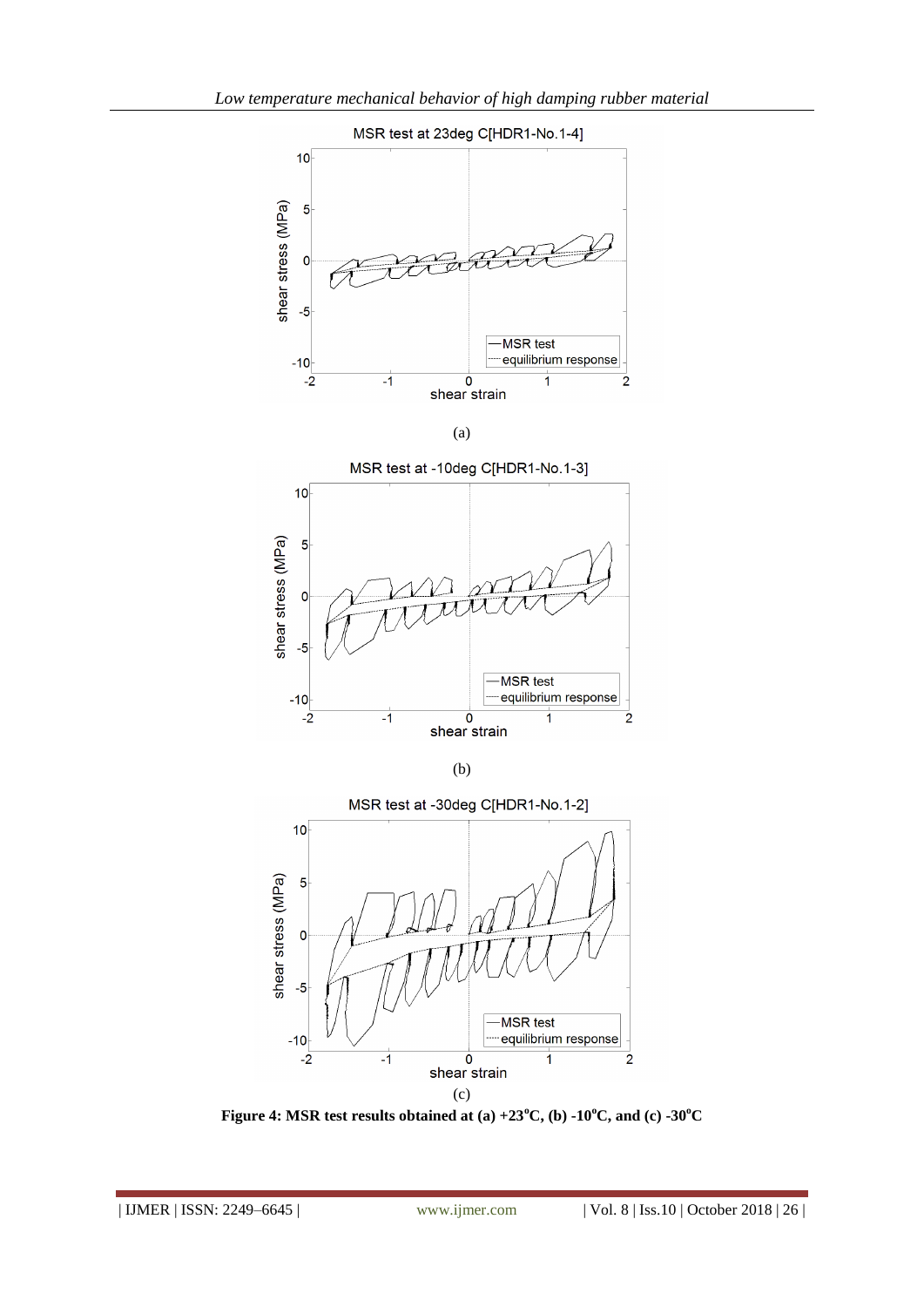



**Figure 4: MSR test results obtained at (a) +23<sup>o</sup>C, (b) -10<sup>o</sup>C, and (c) -30<sup>o</sup>C**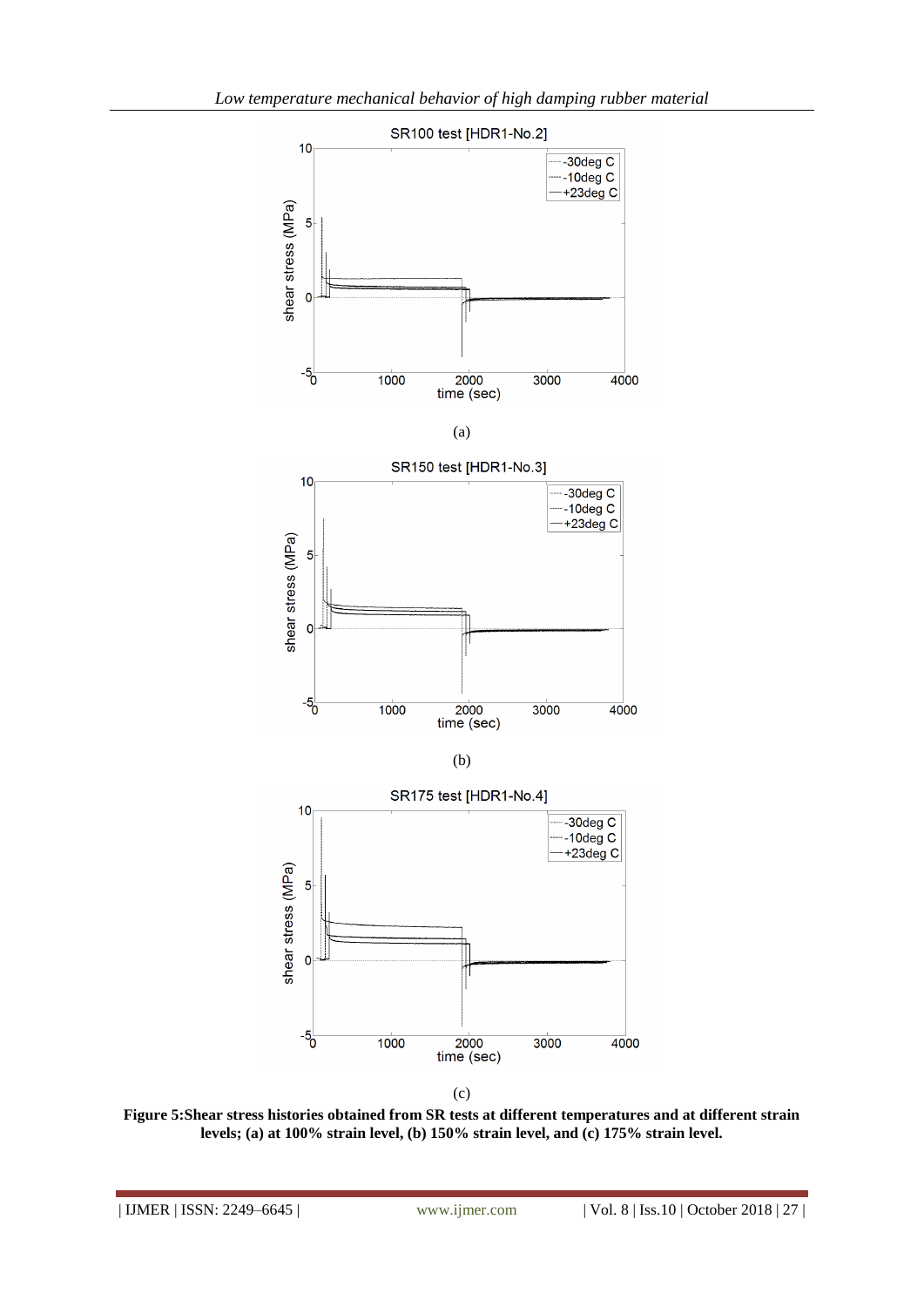



**Figure 5:Shear stress histories obtained from SR tests at different temperatures and at different strain levels; (a) at 100% strain level, (b) 150% strain level, and (c) 175% strain level.**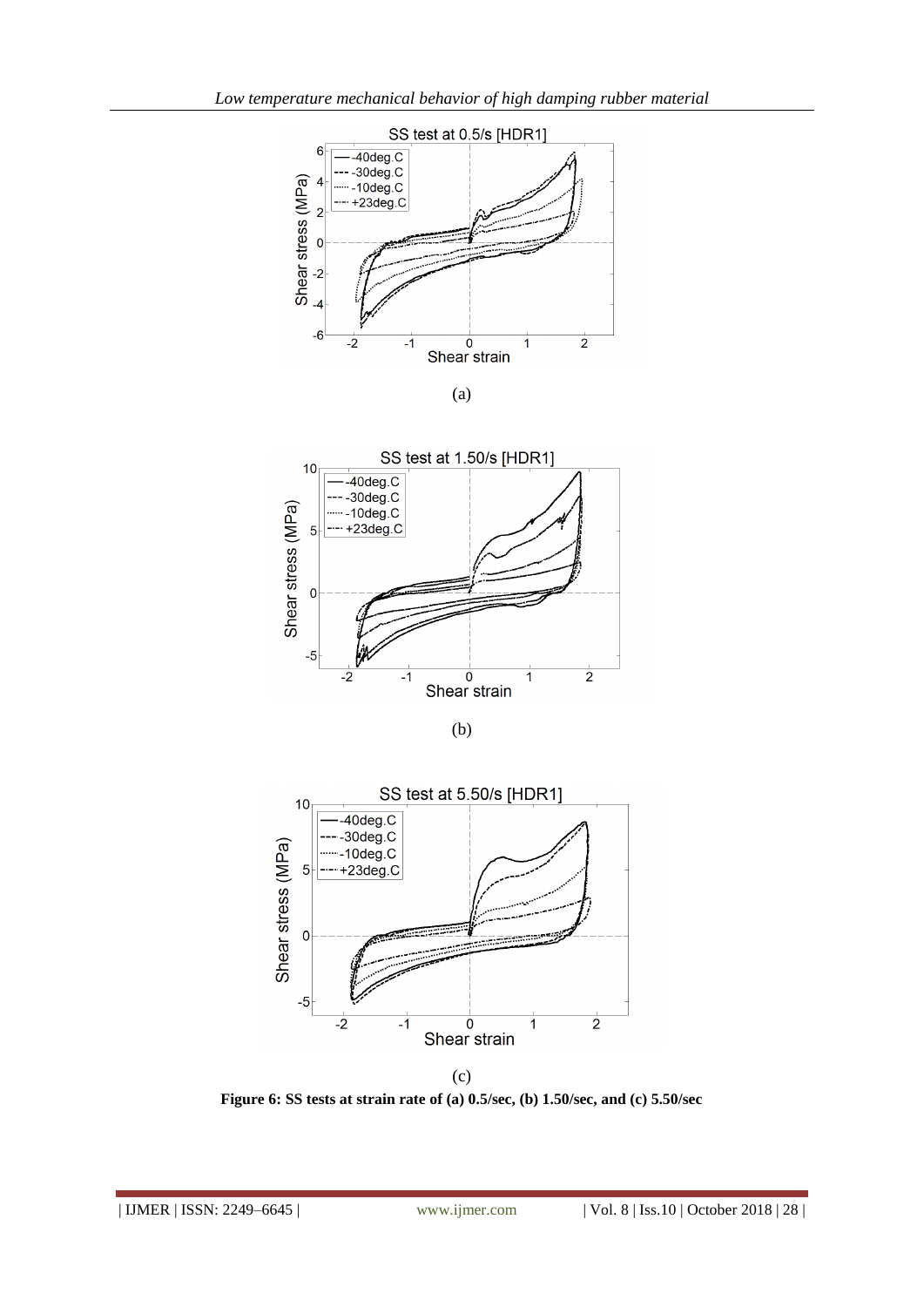

(a)



(b)



(c)

**Figure 6: SS tests at strain rate of (a) 0.5/sec, (b) 1.50/sec, and (c) 5.50/sec**